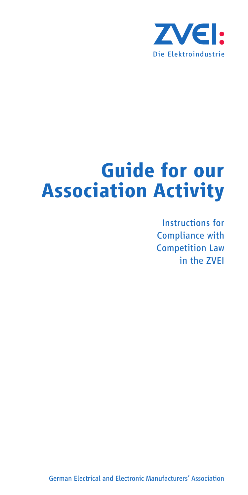

# **Guide for our Association Activity**

Instructions for Compliance with Competition Law in the ZVEI

German Electrical and Electronic Manufacturers' Association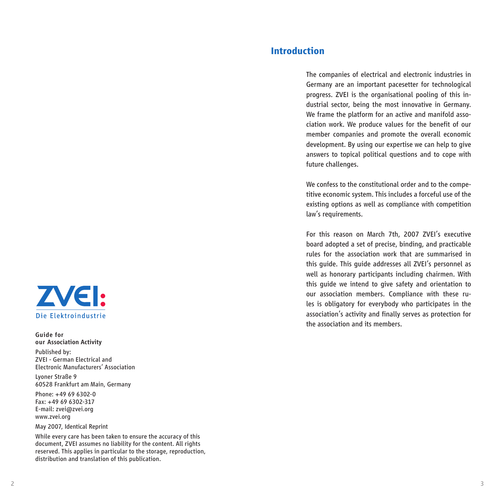

*Guide for our Association Activity* Published by: ZVEI - German Electrical and Electronic Manufacturers' Association

Lyoner Straße 9 60528 Frankfurt am Main, Germany

Phone: +49 69 6302-0 Fax: +49 69 6302-317 E-mail: zvei@zvei.org www.zvei.org

#### May 2007, Identical Reprint

While every care has been taken to ensure the accuracy of this document, ZVEI assumes no liability for the content. All rights reserved. This applies in particular to the storage, reproduction, distribution and translation of this publication.

### **Introduction**

The companies of electrical and electronic industries in Germany are an important pacesetter for technological progress. ZVEI is the organisational pooling of this industrial sector, being the most innovative in Germany. We frame the platform for an active and manifold association work. We produce values for the benefit of our member companies and promote the overall economic development. By using our expertise we can help to give answers to topical political questions and to cope with future challenges.

We confess to the constitutional order and to the competitive economic system. This includes a forceful use of the existing options as well as compliance with competition law's requirements.

For this reason on March 7th, 2007 ZVEI's executive board adopted a set of precise, binding, and practicable rules for the association work that are summarised in this guide. This guide addresses all ZVEI's personnel as well as honorary participants including chairmen. With this guide we intend to give safety and orientation to our association members. Compliance with these rules is obligatory for everybody who participates in the association's activity and finally serves as protection for the association and its members.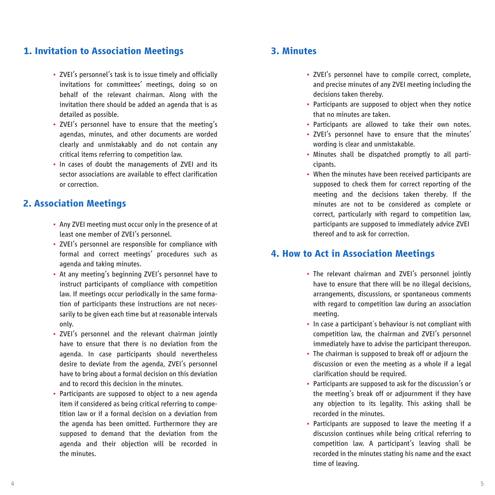### **1. Invitation to Association Meetings 3. Minutes**

- ZVEI's personnel's task is to issue timely and officially invitations for committees' meetings, doing so on behalf of the relevant chairman. Along with the invitation there should be added an agenda that is as detailed as possible.
- ZVEI's personnel have to ensure that the meeting's agendas, minutes, and other documents are worded clearly and unmistakably and do not contain any critical items referring to competition law.
- In cases of doubt the managements of ZVEI and its sector associations are available to effect clarification or correction.

#### **2. Association Meetings**

- Any ZVEI meeting must occur only in the presence of at least one member of ZVEI's personnel.
- ZVEI's personnel are responsible for compliance with formal and correct meetings' procedures such as agenda and taking minutes.
- At any meeting's beginning ZVEI's personnel have to instruct participants of compliance with competition law. If meetings occur periodically in the same formation of participants these instructions are not necessarily to be given each time but at reasonable intervals only.
- ZVEI's personnel and the relevant chairman jointly have to ensure that there is no deviation from the agenda. In case participants should nevertheless desire to deviate from the agenda, ZVEI's personnel have to bring about a formal decision on this deviation and to record this decision in the minutes.
- Participants are supposed to object to a new agenda item if considered as being critical referring to competition law or if a formal decision on a deviation from the agenda has been omitted. Furthermore they are supposed to demand that the deviation from the agenda and their objection will be recorded in the minutes.

- ZVEI's personnel have to compile correct, complete, and precise minutes of any ZVEI meeting including the decisions taken thereby.
- Participants are supposed to object when they notice that no minutes are taken.
- Participants are allowed to take their own notes.
- ZVEI's personnel have to ensure that the minutes' wording is clear and unmistakable.
- Minutes shall be dispatched promptly to all participants.
- When the minutes have been received participants are supposed to check them for correct reporting of the meeting and the decisions taken thereby. If the minutes are not to be considered as complete or correct, particularly with regard to competition law, participants are supposed to immediately advice ZVEI thereof and to ask for correction.

#### **4. How to Act in Association Meetings**

- The relevant chairman and ZVEI's personnel jointly have to ensure that there will be no illegal decisions, arrangements, discussions, or spontaneous comments with regard to competition law during an association meeting.
- In case a participant´s behaviour is not compliant with competition law, the chairman and ZVEI's personnel immediately have to advise the participant thereupon.
- The chairman is supposed to break off or adjourn the discussion or even the meeting as a whole if a legal clarification should be required.
- Participants are supposed to ask for the discussion's or the meeting's break off or adjournment if they have any objection to its legality. This asking shall be recorded in the minutes.
- Participants are supposed to leave the meeting if a discussion continues while being critical referring to competition law. A participant's leaving shall be recorded in the minutes stating his name and the exact time of leaving.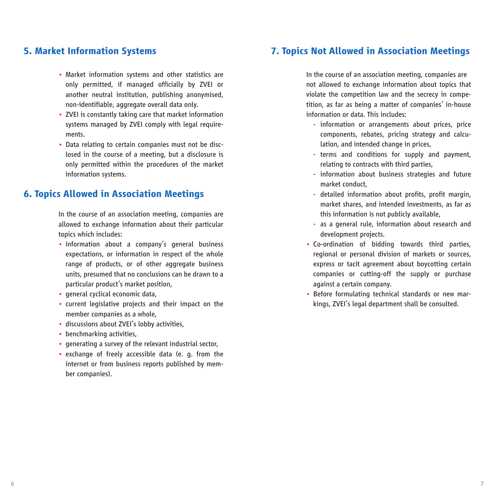- Market information systems and other statistics are only permitted, if managed officially by ZVEI or another neutral institution, publishing anonymised, non-identifiable, aggregate overall data only.
- ZVEI is constantly taking care that market information systems managed by ZVEI comply with legal requirements.
- Data relating to certain companies must not be disclosed in the course of a meeting, but a disclosure is only permitted within the procedures of the market information systems.

#### **6. Topics Allowed in Association Meetings**

In the course of an association meeting, companies are allowed to exchange information about their particular topics which includes:

- information about a company's general business expectations, or information in respect of the whole range of products, or of other aggregate business units, presumed that no conclusions can be drawn to a particular product's market position,
- general cyclical economic data,
- current legislative projects and their impact on the member companies as a whole,
- discussions about ZVEI's lobby activities,
- benchmarking activities,
- generating a survey of the relevant industrial sector,
- exchange of freely accessible data (e. g. from the internet or from business reports published by member companies).

### **5. Market Information Systems 7. Topics Not Allowed in Association Meetings**

In the course of an association meeting, companies are not allowed to exchange information about topics that violate the competition law and the secrecy in competition, as far as being a matter of companies' in-house information or data. This includes:

- information or arrangements about prices, price components, rebates, pricing strategy and calcu lation, and intended change in prices,
- terms and conditions for supply and payment, relating to contracts with third parties,
- information about business strategies and future market conduct,
- detailed information about profits, profit margin, market shares, and intended investments, as far as this information is not publicly available,
- as a general rule, information about research and development projects.
- Co-ordination of bidding towards third parties, regional or personal division of markets or sources, express or tacit agreement about boycotting certain companies or cutting-off the supply or purchase against a certain company.
- Before formulating technical standards or new markings, ZVEI's legal department shall be consulted.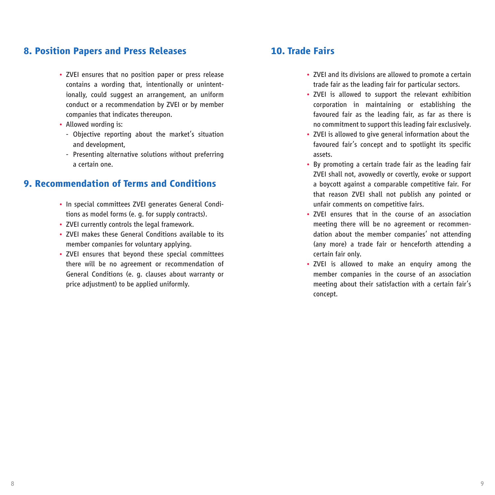#### **8. Position Papers and Press Releases 10. Trade Fairs**

- ZVEI ensures that no position paper or press release contains a wording that, intentionally or unintentionally, could suggest an arrangement, an uniform conduct or a recommendation by ZVEI or by member companies that indicates thereupon.
- Allowed wording is:
	- Objective reporting about the market's situation and development,
	- Presenting alternative solutions without preferring a certain one.

## **9. Recommendation of Terms and Conditions**

- In special committees ZVEI generates General Conditions as model forms (e. g. for supply contracts).
- ZVEI currently controls the legal framework.
- ZVEI makes these General Conditions available to its member companies for voluntary applying.
- ZVEI ensures that beyond these special committees there will be no agreement or recommendation of General Conditions (e. g. clauses about warranty or price adjustment) to be applied uniformly.

- ZVEI and its divisions are allowed to promote a certain trade fair as the leading fair for particular sectors.
- ZVEI is allowed to support the relevant exhibition corporation in maintaining or establishing the favoured fair as the leading fair, as far as there is no commitment to support this leading fair exclusively.
- ZVEI is allowed to give general information about the favoured fair's concept and to spotlight its specific assets.
- By promoting a certain trade fair as the leading fair ZVEI shall not, avowedly or covertly, evoke or support a boycott against a comparable competitive fair. For that reason ZVEI shall not publish any pointed or unfair comments on competitive fairs.
- ZVEI ensures that in the course of an association meeting there will be no agreement or recommendation about the member companies' not attending (any more) a trade fair or henceforth attending a certain fair only.
- ZVEI is allowed to make an enquiry among the member companies in the course of an association meeting about their satisfaction with a certain fair's concept.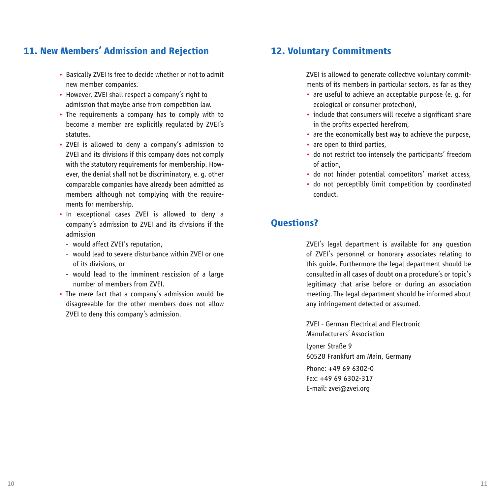## **11. New Members' Admission and Rejection 12. Voluntary Commitments**

- Basically ZVEI is free to decide whether or not to admit new member companies.
- However, ZVEI shall respect a company's right to admission that maybe arise from competition law.
- The requirements a company has to comply with to become a member are explicitly regulated by ZVEI's statutes.
- ZVEI is allowed to deny a company's admission to ZVEI and its divisions if this company does not comply with the statutory requirements for membership. However, the denial shall not be discriminatory, e. g. other comparable companies have already been admitted as members although not complying with the requirements for membership.
- In exceptional cases ZVEI is allowed to deny a company's admission to ZVEI and its divisions if the admission
	- would affect ZVEI's reputation,
	- would lead to severe disturbance within ZVEI or one of its divisions, or
	- would lead to the imminent rescission of a large number of members from ZVEI.
- The mere fact that a company's admission would be disagreeable for the other members does not allow ZVEI to deny this company's admission.

ZVEI is allowed to generate collective voluntary commitments of its members in particular sectors, as far as they

- are useful to achieve an acceptable purpose (e. g. for ecological or consumer protection),
- include that consumers will receive a significant share in the profits expected herefrom,
- are the economically best way to achieve the purpose,
- are open to third parties,
- do not restrict too intensely the participants' freedom of action,
- do not hinder potential competitors' market access,
- do not perceptibly limit competition by coordinated conduct.

#### **Questions?**

ZVEI's legal department is available for any question of ZVEI's personnel or honorary associates relating to this guide. Furthermore the legal department should be consulted in all cases of doubt on a procedure's or topic's legitimacy that arise before or during an association meeting. The legal department should be informed about any infringement detected or assumed.

ZVEI - German Electrical and Electronic Manufacturers' Association Lyoner Straße 9 60528 Frankfurt am Main, Germany Phone: +49 69 6302-0 Fax: +49 69 6302-317 E-mail: zvei@zvei.org